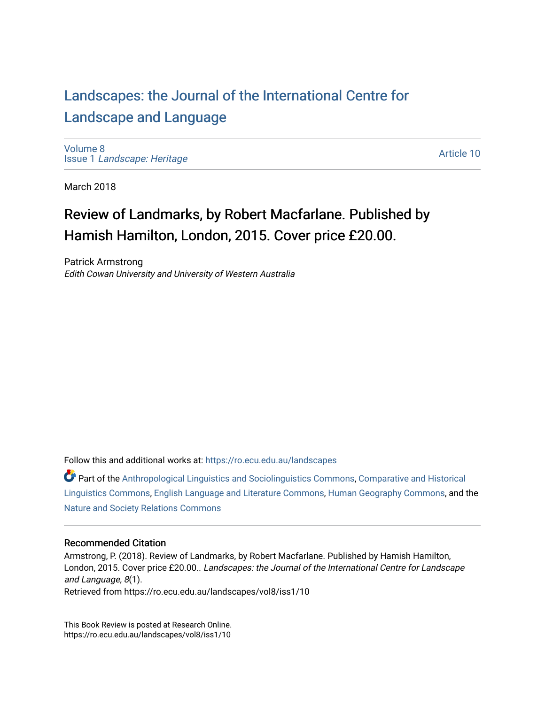## [Landscapes: the Journal of the International Centre for](https://ro.ecu.edu.au/landscapes) [Landscape and Language](https://ro.ecu.edu.au/landscapes)

[Volume 8](https://ro.ecu.edu.au/landscapes/vol8) Issue 1 [Landscape: Heritage](https://ro.ecu.edu.au/landscapes/vol8/iss1)

[Article 10](https://ro.ecu.edu.au/landscapes/vol8/iss1/10) 

March 2018

## Review of Landmarks, by Robert Macfarlane. Published by Hamish Hamilton, London, 2015. Cover price £20.00.

Patrick Armstrong Edith Cowan University and University of Western Australia

Follow this and additional works at: [https://ro.ecu.edu.au/landscapes](https://ro.ecu.edu.au/landscapes?utm_source=ro.ecu.edu.au%2Flandscapes%2Fvol8%2Fiss1%2F10&utm_medium=PDF&utm_campaign=PDFCoverPages) 

Part of the [Anthropological Linguistics and Sociolinguistics Commons,](http://network.bepress.com/hgg/discipline/372?utm_source=ro.ecu.edu.au%2Flandscapes%2Fvol8%2Fiss1%2F10&utm_medium=PDF&utm_campaign=PDFCoverPages) [Comparative and Historical](http://network.bepress.com/hgg/discipline/374?utm_source=ro.ecu.edu.au%2Flandscapes%2Fvol8%2Fiss1%2F10&utm_medium=PDF&utm_campaign=PDFCoverPages) [Linguistics Commons,](http://network.bepress.com/hgg/discipline/374?utm_source=ro.ecu.edu.au%2Flandscapes%2Fvol8%2Fiss1%2F10&utm_medium=PDF&utm_campaign=PDFCoverPages) [English Language and Literature Commons](http://network.bepress.com/hgg/discipline/455?utm_source=ro.ecu.edu.au%2Flandscapes%2Fvol8%2Fiss1%2F10&utm_medium=PDF&utm_campaign=PDFCoverPages), [Human Geography Commons](http://network.bepress.com/hgg/discipline/356?utm_source=ro.ecu.edu.au%2Flandscapes%2Fvol8%2Fiss1%2F10&utm_medium=PDF&utm_campaign=PDFCoverPages), and the [Nature and Society Relations Commons](http://network.bepress.com/hgg/discipline/357?utm_source=ro.ecu.edu.au%2Flandscapes%2Fvol8%2Fiss1%2F10&utm_medium=PDF&utm_campaign=PDFCoverPages) 

## Recommended Citation

Armstrong, P. (2018). Review of Landmarks, by Robert Macfarlane. Published by Hamish Hamilton, London, 2015. Cover price £20.00.. Landscapes: the Journal of the International Centre for Landscape and Language, 8(1).

Retrieved from https://ro.ecu.edu.au/landscapes/vol8/iss1/10

This Book Review is posted at Research Online. https://ro.ecu.edu.au/landscapes/vol8/iss1/10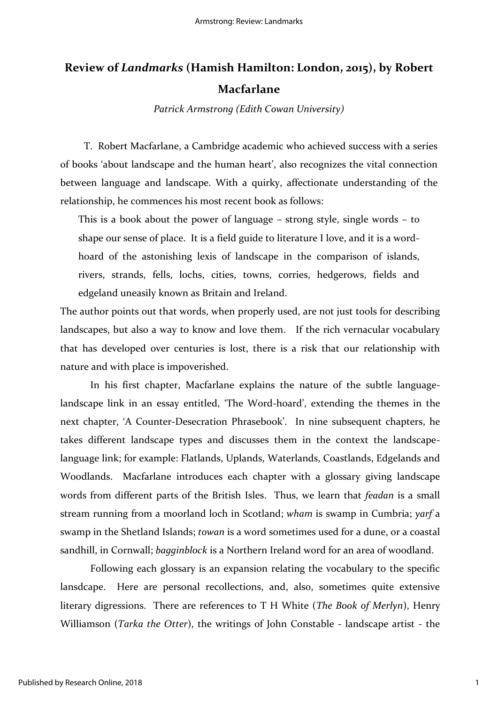## **Review of** *Landmarks* **(Hamish Hamilton: London, 2015), by Robert Macfarlane**

*Patrick Armstrong (Edith Cowan University)*

T. Robert Macfarlane, a Cambridge academic who achieved success with a series of books 'about landscape and the human heart', also recognizes the vital connection between language and landscape. With a quirky, affectionate understanding of the relationship, he commences his most recent book as follows:

This is a book about the power of language – strong style, single words – to shape our sense of place. It is a field guide to literature I love, and it is a wordhoard of the astonishing lexis of landscape in the comparison of islands, rivers, strands, fells, lochs, cities, towns, corries, hedgerows, fields and edgeland uneasily known as Britain and Ireland.

The author points out that words, when properly used, are not just tools for describing landscapes, but also a way to know and love them. If the rich vernacular vocabulary that has developed over centuries is lost, there is a risk that our relationship with nature and with place is impoverished.

In his first chapter, Macfarlane explains the nature of the subtle languagelandscape link in an essay entitled, 'The Word-hoard', extending the themes in the next chapter, 'A Counter-Desecration Phrasebook'. In nine subsequent chapters, he takes different landscape types and discusses them in the context the landscapelanguage link; for example: Flatlands, Uplands, Waterlands, Coastlands, Edgelands and Woodlands. Macfarlane introduces each chapter with a glossary giving landscape words from different parts of the British Isles. Thus, we learn that *feadan* is a small stream running from a moorland loch in Scotland; *wham* is swamp in Cumbria; *yarf* a swamp in the Shetland Islands; *towan* is a word sometimes used for a dune, or a coastal sandhill, in Cornwall; *bagginblock* is a Northern Ireland word for an area of woodland.

Following each glossary is an expansion relating the vocabulary to the specific lansdcape. Here are personal recollections, and, also, sometimes quite extensive literary digressions. There are references to T H White (*The Book of Merlyn*), Henry Williamson (*Tarka the Otter*), the writings of John Constable - landscape artist - the